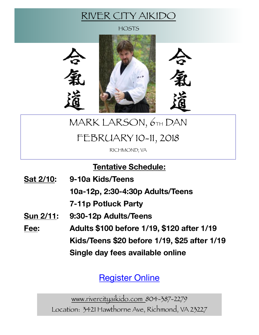### RIVER CITY AIKIDO

**HOSTS** 



# MARK LARSON, 6TH DAN

## FEBRUARY 10-11, 2018

RICHMOND, VA

**Tentative Schedule:** 

**Sat 2/10: 9-10a Kids/Teens 10a-12p, 2:30-4:30p Adults/Teens 7-11p Potluck Party Sun 2/11: 9:30-12p Adults/Teens Fee: Adults \$100 before 1/19, \$120 after 1/19 Kids/Teens \$20 before 1/19, \$25 after 1/19 Single day fees available online** 

[Register Online](http://events.eventzilla.net/e/mark-larson--richmond-va--2018-2138923850)

www.rivercityaikido.com 804-387-2279 Location: 3421 Hawthorne Ave, Richmond, VA 23227